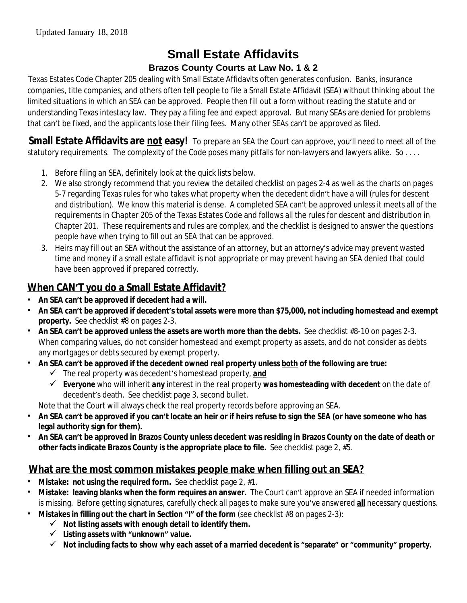# **Small Estate Affidavits Brazos County Courts at Law No. 1 & 2**

Texas Estates Code Chapter 205 dealing with Small Estate Affidavits often generates confusion. Banks, insurance companies, title companies, and others often tell people to file a Small Estate Affidavit (SEA) without thinking about the limited situations in which an SEA can be approved. People then fill out a form without reading the statute and or understanding Texas intestacy law. They pay a filing fee and expect approval. But many SEAs are denied for problems that can't be fixed, and the applicants lose their filing fees. Many other SEAs can't be approved as filed.

**Small Estate Affidavits are not easy!** To prepare an SEA the Court can approve, you'll need to meet all of the statutory requirements. The complexity of the Code poses many pitfalls for non-lawyers and lawyers alike. *So . . . .*

- 1. Before filing an SEA, definitely look at the quick lists below.
- 2. We also strongly recommend that you review the detailed checklist on pages 2-4 as well as the charts on pages 5-7 regarding Texas rules for who takes what property when the decedent didn't have a will (rules for descent and distribution). We know this material is dense. A completed SEA can't be approved unless it meets all of the requirements in Chapter 205 of the Texas Estates Code and follows all the rules for descent and distribution in Chapter 201. These requirements and rules are complex, and the checklist is designed to answer the questions people have when trying to fill out an SEA that can be approved.
- 3. Heirs may fill out an SEA without the assistance of an attorney, but an attorney's advice may prevent wasted time and money if a small estate affidavit is not appropriate or may prevent having an SEA denied that could have been approved if prepared correctly.

## **When CAN'T you do a Small Estate Affidavit?**

- **An SEA can't be approved if decedent had a will.**
- **An SEA can't be approved if decedent's total assets were more than \$75,000, not including homestead and exempt property.** See checklist #8 on pages 2-3.
- **An SEA can't be approved unless the assets are worth more than the debts.** See checklist #8-10 on pages 2-3. When comparing values, do not consider homestead and exempt property as assets, and do not consider as debts any mortgages or debts secured by exempt property.
- **An SEA can't be approved if the decedent owned real property** *unless both of the following are true***:**
	- The real property was decedent's homestead property, *and*
	- *Everyone* who will inherit *any* interest in the real property *was homesteading with decedent* on the date of decedent's death. See checklist page 3, second bullet.

Note that the Court will always check the real property records before approving an SEA.

- **An SEA can't be approved if you can't locate an heir or if heirs refuse to sign the SEA (or have someone who has legal authority sign for them).**
- **An SEA can't be approved in Brazos County unless decedent was residing in Brazos County on the date of death or other facts indicate Brazos County is the appropriate place to file.** See checklist page 2, #5.

## **What are the most common mistakes people make when filling out an SEA?**

- **Mistake: not using the required form.** See checklist page 2, #1.
- **Mistake: leaving blanks when the form requires an answer.** The Court can't approve an SEA if needed information is missing. Before getting signatures, carefully check all pages to make sure you've answered **all** necessary questions.
	- **Mistakes in filling out the chart in Section "I" of the form (see checklist #8 on pages 2-3):** 
		- $\checkmark$  Not listing assets with enough detail to identify them.
			- **Listing assets with "unknown" value.**
			- **Not including facts to show why each asset of a married decedent is "separate" or "community" property.**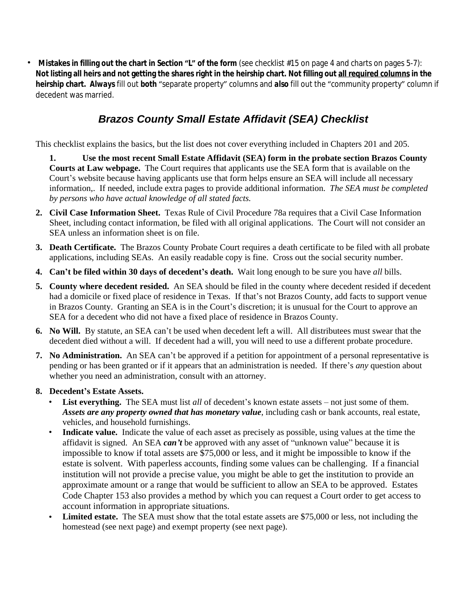**Mistakes in filling out the chart in Section "L" of the form (see checklist #15 on page 4 and charts on pages 5-7): Not listing all heirs and not getting the shares right in the heirship chart. Not filling out all required columns in the heirship chart.** *Always* fill out *both* "separate property" columns and *also* fill out the "community property" column if decedent was married.

# *Brazos County Small Estate Affidavit (SEA) Checklist*

This checklist explains the basics, but the list does not cover everything included in Chapters 201 and 205.

**1. Use the most recent Small Estate Affidavit (SEA) form in the probate section Brazos County Courts at Law webpage.** The Court requires that applicants use the SEA form that is available on the Court's website because having applicants use that form helps ensure an SEA will include all necessary information,. If needed, include extra pages to provide additional information. *The SEA must be completed by persons who have actual knowledge of all stated facts.*

- **2. Civil Case Information Sheet.** Texas Rule of Civil Procedure 78a requires that a Civil Case Information Sheet, including contact information, be filed with all original applications. The Court will not consider an SEA unless an information sheet is on file.
- **3. Death Certificate.** The Brazos County Probate Court requires a death certificate to be filed with all probate applications, including SEAs. An easily readable copy is fine. Cross out the social security number.
- **4. Can't be filed within 30 days of decedent's death.** Wait long enough to be sure you have *all* bills.
- **5. County where decedent resided.** An SEA should be filed in the county where decedent resided if decedent had a domicile or fixed place of residence in Texas. If that's not Brazos County, add facts to support venue in Brazos County. Granting an SEA is in the Court's discretion; it is unusual for the Court to approve an SEA for a decedent who did not have a fixed place of residence in Brazos County.
- **6. No Will.** By statute, an SEA can't be used when decedent left a will. All distributees must swear that the decedent died without a will. If decedent had a will, you will need to use a different probate procedure.
- **7. No Administration.** An SEA can't be approved if a petition for appointment of a personal representative is pending or has been granted or if it appears that an administration is needed. If there's *any* question about whether you need an administration, consult with an attorney.

#### **8. Decedent's Estate Assets.**

- List everything. The SEA must list *all* of decedent's known estate assets not just some of them. *Assets are any property owned that has monetary value*, including cash or bank accounts, real estate, vehicles, and household furnishings.
- Indicate value. Indicate the value of each asset as precisely as possible, using values at the time the affidavit is signed. An SEA *can't* be approved with any asset of "unknown value" because it is impossible to know if total assets are \$75,000 or less, and it might be impossible to know if the estate is solvent. With paperless accounts, finding some values can be challenging. If a financial institution will not provide a precise value, you might be able to get the institution to provide an approximate amount or a range that would be sufficient to allow an SEA to be approved. Estates Code Chapter 153 also provides a method by which you can request a Court order to get access to account information in appropriate situations.
- **Limited estate.** The SEA must show that the total estate assets are \$75,000 or less, not including the homestead (see next page) and exempt property (see next page).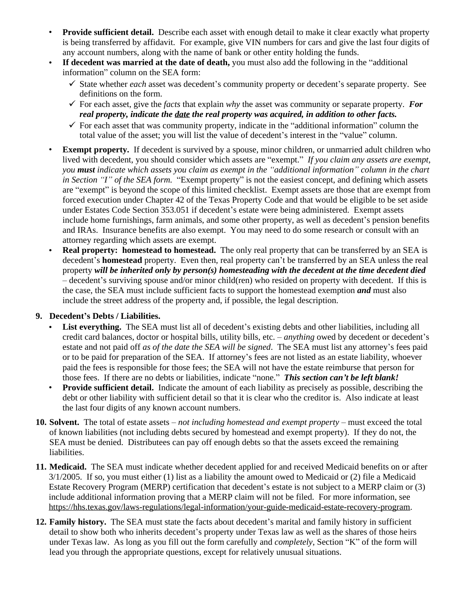- **Provide sufficient detail.** Describe each asset with enough detail to make it clear exactly what property is being transferred by affidavit. For example, give VIN numbers for cars and give the last four digits of any account numbers, along with the name of bank or other entity holding the funds.
- **If decedent was married at the date of death,** you must also add the following in the "additional information" column on the SEA form:
	- State whether *each* asset was decedent's community property or decedent's separate property. See definitions on the form.
	- $\checkmark$  For each asset, give the *facts* that explain *why* the asset was community or separate property. For *real property, indicate the date the real property was acquired, in addition to other facts.*
	- $\checkmark$  For each asset that was community property, indicate in the "additional information" column the total value of the asset; you will list the value of decedent's interest in the "value" column.
- **Exempt property.** If decedent is survived by a spouse, minor children, or unmarried adult children who lived with decedent, you should consider which assets are "exempt." *If you claim any assets are exempt, you must indicate which assets you claim as exempt in the "additional information" column in the chart in Section "I" of the SEA form.* "Exempt property" is not the easiest concept, and defining which assets are "exempt" is beyond the scope of this limited checklist. Exempt assets are those that are exempt from forced execution under Chapter 42 of the Texas Property Code and that would be eligible to be set aside under Estates Code Section 353.051 if decedent's estate were being administered. Exempt assets include home furnishings, farm animals, and some other property, as well as decedent's pension benefits and IRAs. Insurance benefits are also exempt. You may need to do some research or consult with an attorney regarding which assets are exempt.
- **Real property: homestead to homestead.** The only real property that can be transferred by an SEA is decedent's **homestead** property. Even then, real property can't be transferred by an SEA unless the real property *will be inherited only by person(s) homesteading with the decedent at the time decedent died* – decedent's surviving spouse and/or minor child(ren) who resided on property with decedent. If this is the case, the SEA must include sufficient facts to support the homestead exemption *and* must also include the street address of the property and, if possible, the legal description.

#### **9. Decedent's Debts / Liabilities.**

- List everything. The SEA must list all of decedent's existing debts and other liabilities, including all credit card balances, doctor or hospital bills, utility bills, etc. – *anything* owed by decedent or decedent's estate and not paid off *as of the date the SEA will be signed*. The SEA must list any attorney's fees paid or to be paid for preparation of the SEA. If attorney's fees are not listed as an estate liability, whoever paid the fees is responsible for those fees; the SEA will not have the estate reimburse that person for those fees. If there are no debts or liabilities, indicate "none." *This section can't be left blank!*
- **Provide sufficient detail.** Indicate the amount of each liability as precisely as possible, describing the debt or other liability with sufficient detail so that it is clear who the creditor is. Also indicate at least the last four digits of any known account numbers.
- **10. Solvent.** The total of estate assets *not including homestead and exempt property* must exceed the total of known liabilities (not including debts secured by homestead and exempt property). If they do not, the SEA must be denied. Distributees can pay off enough debts so that the assets exceed the remaining liabilities.
- **11. Medicaid.** The SEA must indicate whether decedent applied for and received Medicaid benefits on or after 3/1/2005. If so, you must either (1) list as a liability the amount owed to Medicaid or (2) file a Medicaid Estate Recovery Program (MERP) certification that decedent's estate is not subject to a MERP claim or (3) include additional information proving that a MERP claim will not be filed. For more information, see [https://hhs.texas.gov/laws-regulations/legal-information/your-guide-medicaid-estate-recovery-program.](https://hhs.texas.gov/laws-regulations/legal-information/your-guide-medicaid-estate-recovery-program)
- **12. Family history.** The SEA must state the facts about decedent's marital and family history in sufficient detail to show both who inherits decedent's property under Texas law as well as the shares of those heirs under Texas law. As long as you fill out the form carefully and *completely*, Section "K" of the form will lead you through the appropriate questions, except for relatively unusual situations.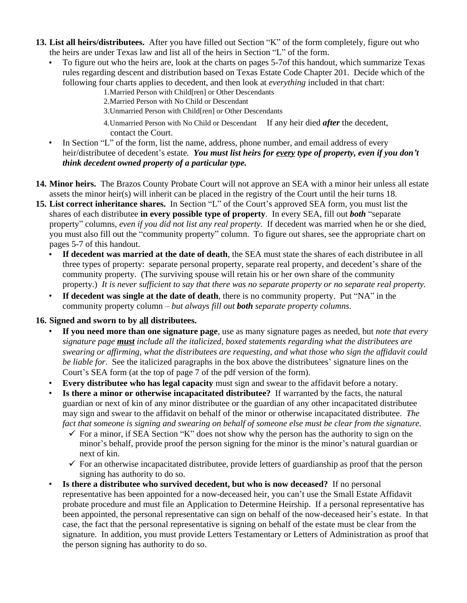- **13. List all heirs/distributees.** After you have filled out Section "K" of the form completely, figure out who the heirs are under Texas law and list all of the heirs in Section "L" of the form.
	- To figure out who the heirs are, look at the charts on pages 5-7of this handout, which summarize Texas rules regarding descent and distribution based on Texas Estate Code Chapter 201. Decide which of the following four charts applies to decedent, and then look at *everything* included in that chart:
		- 1.Married Person with Child[ren] or Other Descendants
		- 2.Married Person with No Child or Descendant
		- 3.Unmarried Person with Child[ren] or Other Descendants
		- 4.Unmarried Person with No Child or Descendant If any heir died *after* the decedent, contact the Court.
	- In Section "L" of the form, list the name, address, phone number, and email address of every heir/distributee of decedent's estate*. You must list heirs for every type of property, even if you don't think decedent owned property of a particular type.*
- **14. Minor heirs.** The Brazos County Probate Court will not approve an SEA with a minor heir unless all estate assets the minor heir(s) will inherit can be placed in the registry of the Court until the heir turns 18.
- **15. List correct inheritance shares.** In Section "L" of the Court's approved SEA form, you must list the shares of each distributee **in every possible type of property**. In every SEA, fill out *both* "separate property" columns, *even if you did not list any real property*. If decedent was married when he or she died, you must also fill out the "community property" column. To figure out shares, see the appropriate chart on pages 5-7 of this handout.
	- **If decedent was married at the date of death**, the SEA must state the shares of each distributee in all three types of property: separate personal property, separate real property, and decedent's share of the community property. (The surviving spouse will retain his or her own share of the community property.) *It is never sufficient to say that there was no separate property or no separate real property.*
	- **If decedent was single at the date of death**, there is no community property. Put "NA" in the community property column – *but always fill out both separate property columns*.

#### **16. Signed and sworn to by all distributees.**

- **If you need more than one signature page**, use as many signature pages as needed, but *note that every signature page must include all the italicized, boxed statements regarding what the distributees are swearing or affirming, what the distributees are requesting, and what those who sign the affidavit could be liable for*. See the italicized paragraphs in the box above the distributees' signature lines on the Court's SEA form (at the top of page 7 of the pdf version of the form).
- **Every distributee who has legal capacity** must sign and swear to the affidavit before a notary.
- **Is there a minor or otherwise incapacitated distributee?** If warranted by the facts, the natural guardian or next of kin of any minor distributee or the guardian of any other incapacitated distributee may sign and swear to the affidavit on behalf of the minor or otherwise incapacitated distributee. *The fact that someone is signing and swearing on behalf of someone else must be clear from the signature.*
	- $\checkmark$  For a minor, if SEA Section "K" does not show why the person has the authority to sign on the minor's behalf, provide proof the person signing for the minor is the minor's natural guardian or next of kin.
	- $\checkmark$  For an otherwise incapacitated distributee, provide letters of guardianship as proof that the person signing has authority to do so.
- **Is there a distributee who survived decedent, but who is now deceased?** If no personal representative has been appointed for a now-deceased heir, you can't use the Small Estate Affidavit probate procedure and must file an Application to Determine Heirship. If a personal representative has been appointed, the personal representative can sign on behalf of the now-deceased heir's estate. In that case, the fact that the personal representative is signing on behalf of the estate must be clear from the signature. In addition, you must provide Letters Testamentary or Letters of Administration as proof that the person signing has authority to do so.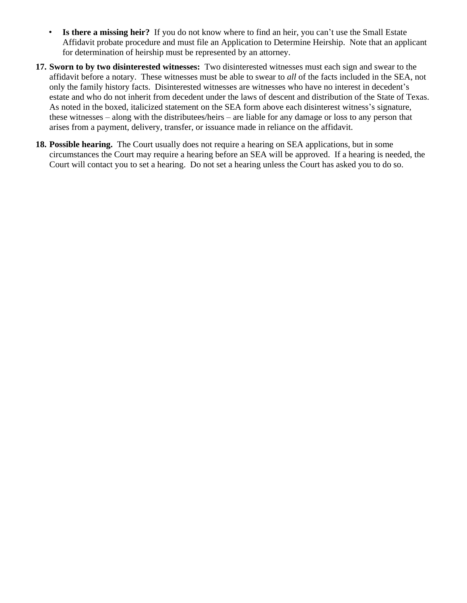- **Is there a missing heir?** If you do not know where to find an heir, you can't use the Small Estate Affidavit probate procedure and must file an Application to Determine Heirship. Note that an applicant for determination of heirship must be represented by an attorney.
- **17. Sworn to by two disinterested witnesses:** Two disinterested witnesses must each sign and swear to the affidavit before a notary. These witnesses must be able to swear to *all* of the facts included in the SEA, not only the family history facts. Disinterested witnesses are witnesses who have no interest in decedent's estate and who do not inherit from decedent under the laws of descent and distribution of the State of Texas. As noted in the boxed, italicized statement on the SEA form above each disinterest witness's signature, these witnesses – along with the distributees/heirs – are liable for any damage or loss to any person that arises from a payment, delivery, transfer, or issuance made in reliance on the affidavit.
- **18. Possible hearing.** The Court usually does not require a hearing on SEA applications, but in some circumstances the Court may require a hearing before an SEA will be approved. If a hearing is needed, the Court will contact you to set a hearing. Do not set a hearing unless the Court has asked you to do so.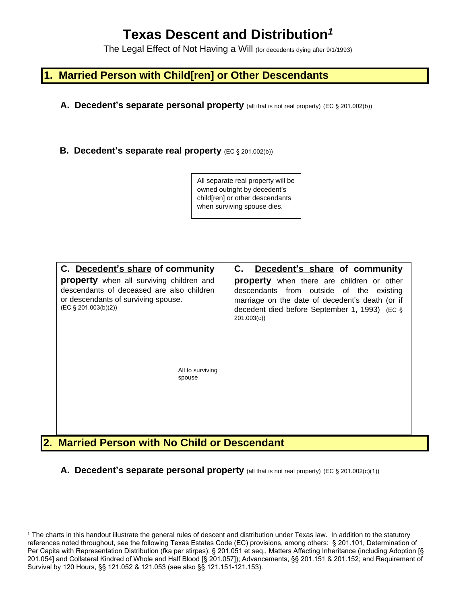# **Texas Descent and Distribution***<sup>1</sup>*

The Legal Effect of Not Having a Will (for decedents dying after 9/1/1993)

### **1. Married Person with Child[ren] or Other Descendants**

- **A. Decedent's separate personal property** (all that is not real property) (EC § 201.002(b))
- **B. Decedent's separate real property** (EC § 201.002(b))

| All separate real property will be |
|------------------------------------|
| owned outright by decedent's       |
| child[ren] or other descendants    |
| when surviving spouse dies.        |

| C. Decedent's share of community<br><b>property</b> when all surviving children and<br>descendants of deceased are also children<br>or descendants of surviving spouse.<br>$(EC \S 201.003(b)(2))$ | C.<br>Decedent's share of community<br><b>property</b> when there are children or other<br>descendants from outside of the existing<br>marriage on the date of decedent's death (or if<br>decedent died before September 1, 1993) (EC §<br>201.003(c) |
|----------------------------------------------------------------------------------------------------------------------------------------------------------------------------------------------------|-------------------------------------------------------------------------------------------------------------------------------------------------------------------------------------------------------------------------------------------------------|
| All to surviving<br>spouse                                                                                                                                                                         |                                                                                                                                                                                                                                                       |

**A. Decedent's separate personal property** (all that is not real property) (EC § 201.002(c)(1))

<sup>1</sup> The charts in this handout illustrate the general rules of descent and distribution under Texas law. In addition to the statutory references noted throughout, see the following Texas Estates Code (EC) provisions, among others: § 201.101, Determination of Per Capita with Representation Distribution (fka per stirpes); § 201.051 et seq., Matters Affecting Inheritance (including Adoption [§ 201.054] and Collateral Kindred of Whole and Half Blood [§ 201.057]); Advancements, §§ 201.151 & 201.152; and Requirement of Survival by 120 Hours, §§ 121.052 & 121.053 (see also §§ 121.151-121.153).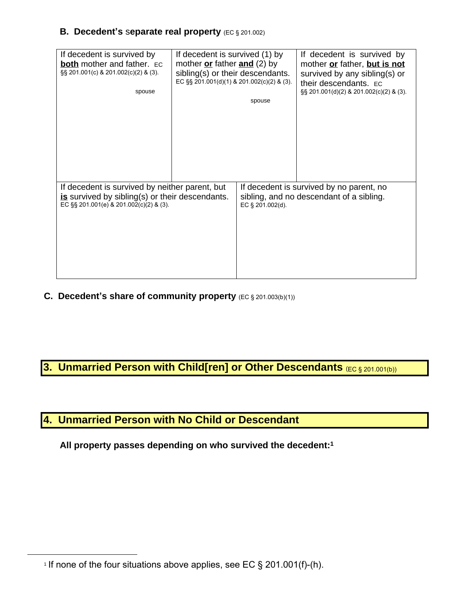#### **B. Decedent's** s**eparate real property** (EC § 201.002)

| If decedent is survived by<br><b>both</b> mother and father. EC<br>§§ 201.001(c) & 201.002(c)(2) & (3).<br>spouse                            | If decedent is survived (1) by<br>mother $or$ father and $(2)$ by<br>sibling(s) or their descendants.<br>EC §§ 201.001(d)(1) & 201.002(c)(2) & (3). | spouse           | If decedent is survived by<br>mother or father, but is not<br>survived by any sibling(s) or<br>their descendants. EC<br>§§ 201.001(d)(2) & 201.002(c)(2) & (3). |
|----------------------------------------------------------------------------------------------------------------------------------------------|-----------------------------------------------------------------------------------------------------------------------------------------------------|------------------|-----------------------------------------------------------------------------------------------------------------------------------------------------------------|
| If decedent is survived by neither parent, but<br>is survived by sibling(s) or their descendants.<br>EC §§ 201.001(e) & 201.002(c)(2) & (3). |                                                                                                                                                     | EC § 201.002(d). | If decedent is survived by no parent, no<br>sibling, and no descendant of a sibling.                                                                            |

**C. Decedent's share of community property** (EC § 201.003(b)(1))

# **3. Unmarried Person with Child[ren] or Other Descendants (EC § 201.001(b))**

## **4. Unmarried Person with No Child or Descendant**

**All property passes depending on who survived the decedent:1**

<sup>1</sup> If none of the four situations above applies, see EC § 201.001(f)-(h).